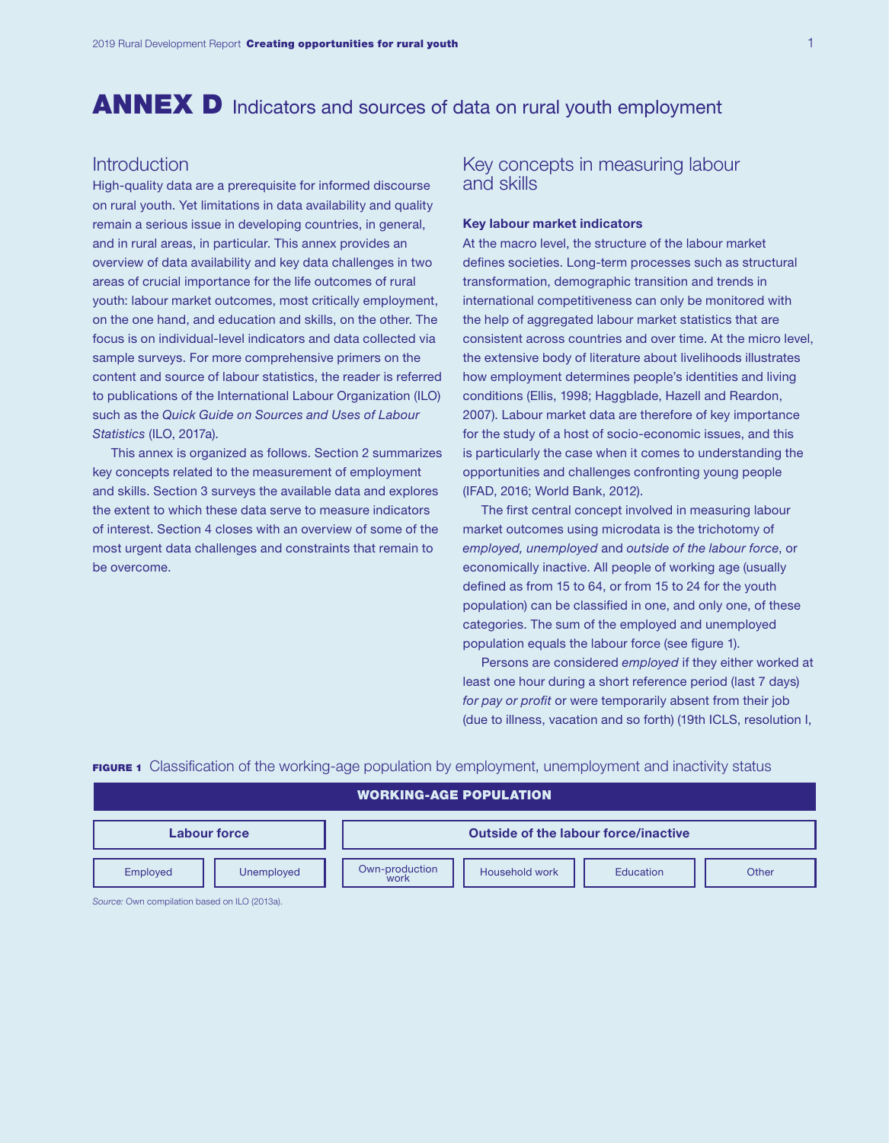# ANNEX D Indicators and sources of data on rural youth employment

## **Introduction**

High-quality data are a prerequisite for informed discourse on rural youth. Yet limitations in data availability and quality remain a serious issue in developing countries, in general, and in rural areas, in particular. This annex provides an overview of data availability and key data challenges in two areas of crucial importance for the life outcomes of rural youth: labour market outcomes, most critically employment, on the one hand, and education and skills, on the other. The focus is on individual-level indicators and data collected via sample surveys. For more comprehensive primers on the content and source of labour statistics, the reader is referred to publications of the International Labour Organization (ILO) such as the *Quick Guide on Sources and Uses of Labour Statistics* (ILO, 2017a).

This annex is organized as follows. Section 2 summarizes key concepts related to the measurement of employment and skills. Section 3 surveys the available data and explores the extent to which these data serve to measure indicators of interest. Section 4 closes with an overview of some of the most urgent data challenges and constraints that remain to be overcome.

## Key concepts in measuring labour and skills

#### Key labour market indicators

At the macro level, the structure of the labour market defines societies. Long-term processes such as structural transformation, demographic transition and trends in international competitiveness can only be monitored with the help of aggregated labour market statistics that are consistent across countries and over time. At the micro level, the extensive body of literature about livelihoods illustrates how employment determines people's identities and living conditions (Ellis, 1998; Haggblade, Hazell and Reardon, 2007). Labour market data are therefore of key importance for the study of a host of socio-economic issues, and this is particularly the case when it comes to understanding the opportunities and challenges confronting young people (IFAD, 2016; World Bank, 2012).

The first central concept involved in measuring labour market outcomes using microdata is the trichotomy of *employed, unemployed* and *outside of the labour force*, or economically inactive. All people of working age (usually defined as from 15 to 64, or from 15 to 24 for the youth population) can be classified in one, and only one, of these categories. The sum of the employed and unemployed population equals the labour force (see figure 1).

Persons are considered *employed* if they either worked at least one hour during a short reference period (last 7 days) *for pay or profit* or were temporarily absent from their job (due to illness, vacation and so forth) (19th ICLS, resolution I,

## **FIGURE 1** Classification of the working-age population by employment, unemployment and inactivity status

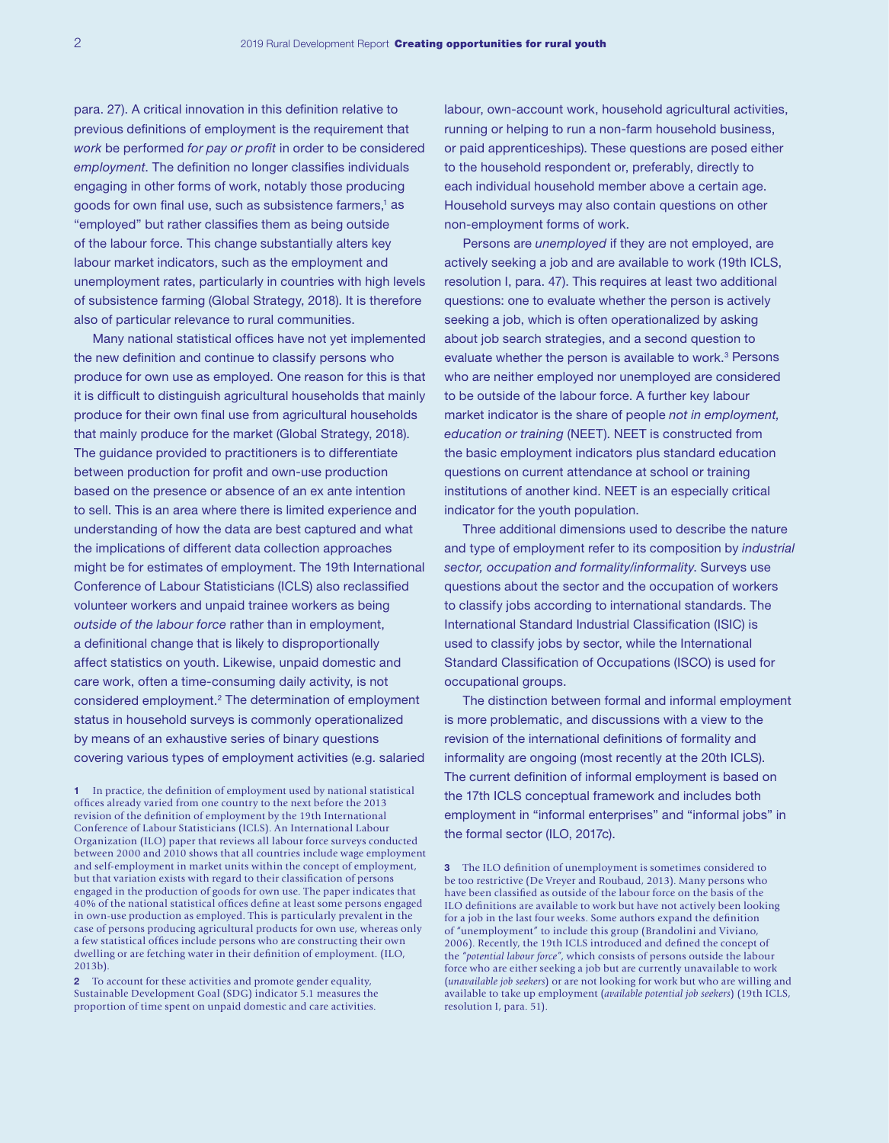para. 27). A critical innovation in this definition relative to previous definitions of employment is the requirement that *work* be performed *for pay or profit* in order to be considered *employment*. The definition no longer classifies individuals engaging in other forms of work, notably those producing goods for own final use, such as subsistence farmers,1 as "employed" but rather classifies them as being outside of the labour force. This change substantially alters key labour market indicators, such as the employment and unemployment rates, particularly in countries with high levels of subsistence farming (Global Strategy, 2018). It is therefore also of particular relevance to rural communities.

Many national statistical offices have not yet implemented the new definition and continue to classify persons who produce for own use as employed. One reason for this is that it is difficult to distinguish agricultural households that mainly produce for their own final use from agricultural households that mainly produce for the market (Global Strategy, 2018). The guidance provided to practitioners is to differentiate between production for profit and own-use production based on the presence or absence of an ex ante intention to sell. This is an area where there is limited experience and understanding of how the data are best captured and what the implications of different data collection approaches might be for estimates of employment. The 19th International Conference of Labour Statisticians (ICLS) also reclassified volunteer workers and unpaid trainee workers as being *outside of the labour force* rather than in employment, a definitional change that is likely to disproportionally affect statistics on youth. Likewise, unpaid domestic and care work, often a time-consuming daily activity, is not considered employment.<sup>2</sup> The determination of employment status in household surveys is commonly operationalized by means of an exhaustive series of binary questions covering various types of employment activities (e.g. salaried

1 In practice, the definition of employment used by national statistical offices already varied from one country to the next before the 2013 revision of the definition of employment by the 19th International Conference of Labour Statisticians (ICLS). An International Labour Organization (ILO) paper that reviews all labour force surveys conducted between 2000 and 2010 shows that all countries include wage employment and self-employment in market units within the concept of employment, but that variation exists with regard to their classification of persons engaged in the production of goods for own use. The paper indicates that 40% of the national statistical offices define at least some persons engaged in own-use production as employed. This is particularly prevalent in the case of persons producing agricultural products for own use, whereas only a few statistical offices include persons who are constructing their own dwelling or are fetching water in their definition of employment. (ILO, 2013b).

2 To account for these activities and promote gender equality, Sustainable Development Goal (SDG) indicator 5.1 measures the proportion of time spent on unpaid domestic and care activities.

labour, own-account work, household agricultural activities, running or helping to run a non-farm household business, or paid apprenticeships). These questions are posed either to the household respondent or, preferably, directly to each individual household member above a certain age. Household surveys may also contain questions on other non-employment forms of work.

Persons are *unemployed* if they are not employed, are actively seeking a job and are available to work (19th ICLS, resolution I, para. 47). This requires at least two additional questions: one to evaluate whether the person is actively seeking a job, which is often operationalized by asking about job search strategies, and a second question to evaluate whether the person is available to work.<sup>3</sup> Persons who are neither employed nor unemployed are considered to be outside of the labour force. A further key labour market indicator is the share of people *not in employment, education or training* (NEET). NEET is constructed from the basic employment indicators plus standard education questions on current attendance at school or training institutions of another kind. NEET is an especially critical indicator for the youth population.

Three additional dimensions used to describe the nature and type of employment refer to its composition by *industrial sector, occupation and formality/informality*. Surveys use questions about the sector and the occupation of workers to classify jobs according to international standards. The International Standard Industrial Classification (ISIC) is used to classify jobs by sector, while the International Standard Classification of Occupations (ISCO) is used for occupational groups.

The distinction between formal and informal employment is more problematic, and discussions with a view to the revision of the international definitions of formality and informality are ongoing (most recently at the 20th ICLS). The current definition of informal employment is based on the 17th ICLS conceptual framework and includes both employment in "informal enterprises" and "informal jobs" in the formal sector (ILO, 2017c).

<sup>3</sup> The ILO definition of unemployment is sometimes considered to be too restrictive (De Vreyer and Roubaud, 2013). Many persons who have been classified as outside of the labour force on the basis of the ILO definitions are available to work but have not actively been looking for a job in the last four weeks. Some authors expand the definition of "unemployment" to include this group (Brandolini and Viviano, 2006). Recently, the 19th ICLS introduced and defined the concept of the "*potential labour force"*, which consists of persons outside the labour force who are either seeking a job but are currently unavailable to work (*unavailable job seekers*) or are not looking for work but who are willing and available to take up employment (*available potential job seekers*) (19th ICLS, resolution I, para. 51).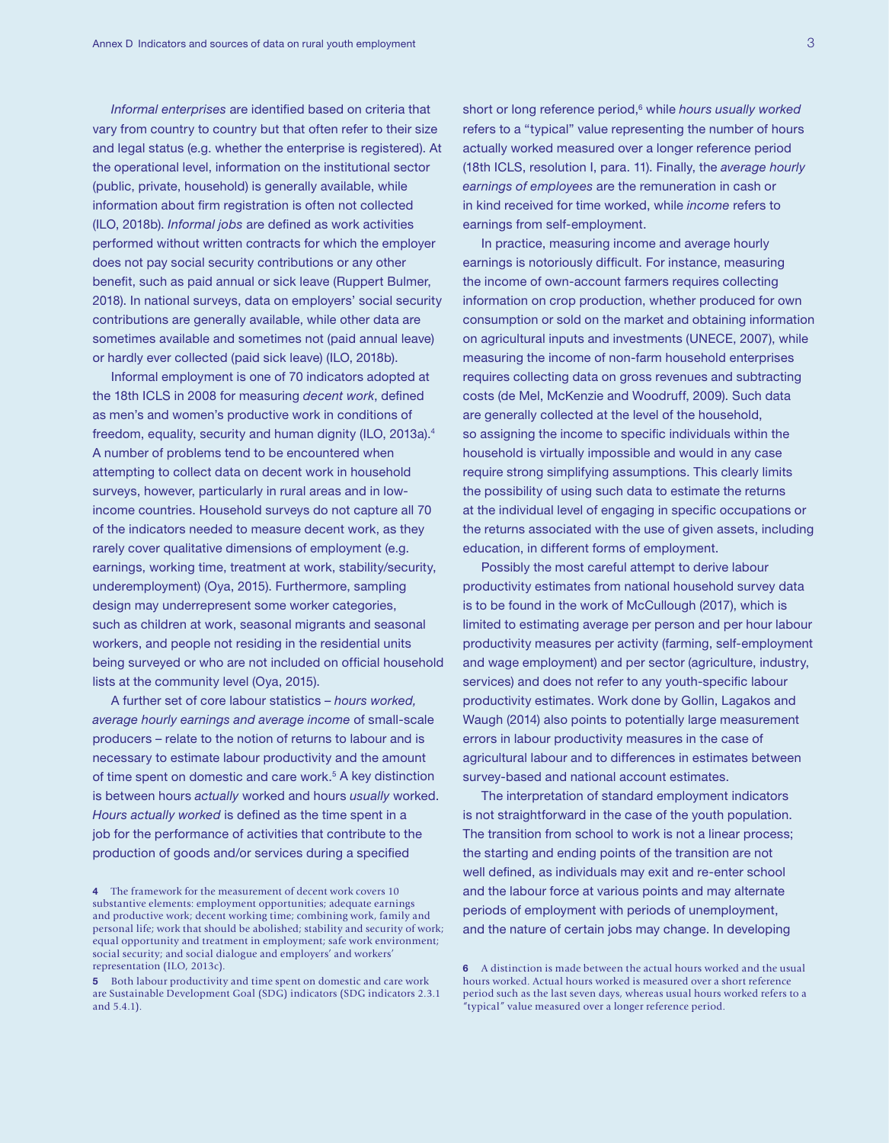*Informal enterprises* are identified based on criteria that vary from country to country but that often refer to their size and legal status (e.g. whether the enterprise is registered). At the operational level, information on the institutional sector (public, private, household) is generally available, while information about firm registration is often not collected (ILO, 2018b). *Informal jobs* are defined as work activities performed without written contracts for which the employer does not pay social security contributions or any other benefit, such as paid annual or sick leave (Ruppert Bulmer, 2018). In national surveys, data on employers' social security contributions are generally available, while other data are sometimes available and sometimes not (paid annual leave) or hardly ever collected (paid sick leave) (ILO, 2018b).

Informal employment is one of 70 indicators adopted at the 18th ICLS in 2008 for measuring *decent work*, defined as men's and women's productive work in conditions of freedom, equality, security and human dignity (ILO, 2013a).4 A number of problems tend to be encountered when attempting to collect data on decent work in household surveys, however, particularly in rural areas and in lowincome countries. Household surveys do not capture all 70 of the indicators needed to measure decent work, as they rarely cover qualitative dimensions of employment (e.g. earnings, working time, treatment at work, stability/security, underemployment) (Oya, 2015). Furthermore, sampling design may underrepresent some worker categories, such as children at work, seasonal migrants and seasonal workers, and people not residing in the residential units being surveyed or who are not included on official household lists at the community level (Oya, 2015).

A further set of core labour statistics – *hours worked, average hourly earnings and average income* of small-scale producers – relate to the notion of returns to labour and is necessary to estimate labour productivity and the amount of time spent on domestic and care work.<sup>5</sup> A key distinction is between hours *actually* worked and hours *usually* worked. *Hours actually worked* is defined as the time spent in a job for the performance of activities that contribute to the production of goods and/or services during a specified

short or long reference period,<sup>6</sup> while *hours usually worked* refers to a "typical" value representing the number of hours actually worked measured over a longer reference period (18th ICLS, resolution I, para. 11). Finally, the *average hourly earnings of employees* are the remuneration in cash or in kind received for time worked, while *income* refers to earnings from self-employment.

In practice, measuring income and average hourly earnings is notoriously difficult. For instance, measuring the income of own-account farmers requires collecting information on crop production, whether produced for own consumption or sold on the market and obtaining information on agricultural inputs and investments (UNECE, 2007), while measuring the income of non-farm household enterprises requires collecting data on gross revenues and subtracting costs (de Mel, McKenzie and Woodruff, 2009). Such data are generally collected at the level of the household, so assigning the income to specific individuals within the household is virtually impossible and would in any case require strong simplifying assumptions. This clearly limits the possibility of using such data to estimate the returns at the individual level of engaging in specific occupations or the returns associated with the use of given assets, including education, in different forms of employment.

Possibly the most careful attempt to derive labour productivity estimates from national household survey data is to be found in the work of McCullough (2017), which is limited to estimating average per person and per hour labour productivity measures per activity (farming, self-employment and wage employment) and per sector (agriculture, industry, services) and does not refer to any youth-specific labour productivity estimates. Work done by Gollin, Lagakos and Waugh (2014) also points to potentially large measurement errors in labour productivity measures in the case of agricultural labour and to differences in estimates between survey-based and national account estimates.

The interpretation of standard employment indicators is not straightforward in the case of the youth population. The transition from school to work is not a linear process; the starting and ending points of the transition are not well defined, as individuals may exit and re-enter school and the labour force at various points and may alternate periods of employment with periods of unemployment, and the nature of certain jobs may change. In developing

<sup>4</sup> The framework for the measurement of decent work covers 10 substantive elements: employment opportunities; adequate earnings and productive work; decent working time; combining work, family and personal life; work that should be abolished; stability and security of work; equal opportunity and treatment in employment; safe work environment; social security; and social dialogue and employers' and workers' representation (ILO, 2013c).

<sup>5</sup> Both labour productivity and time spent on domestic and care work are Sustainable Development Goal (SDG) indicators (SDG indicators 2.3.1 and 5.4.1).

<sup>6</sup> A distinction is made between the actual hours worked and the usual hours worked. Actual hours worked is measured over a short reference period such as the last seven days, whereas usual hours worked refers to a "typical" value measured over a longer reference period.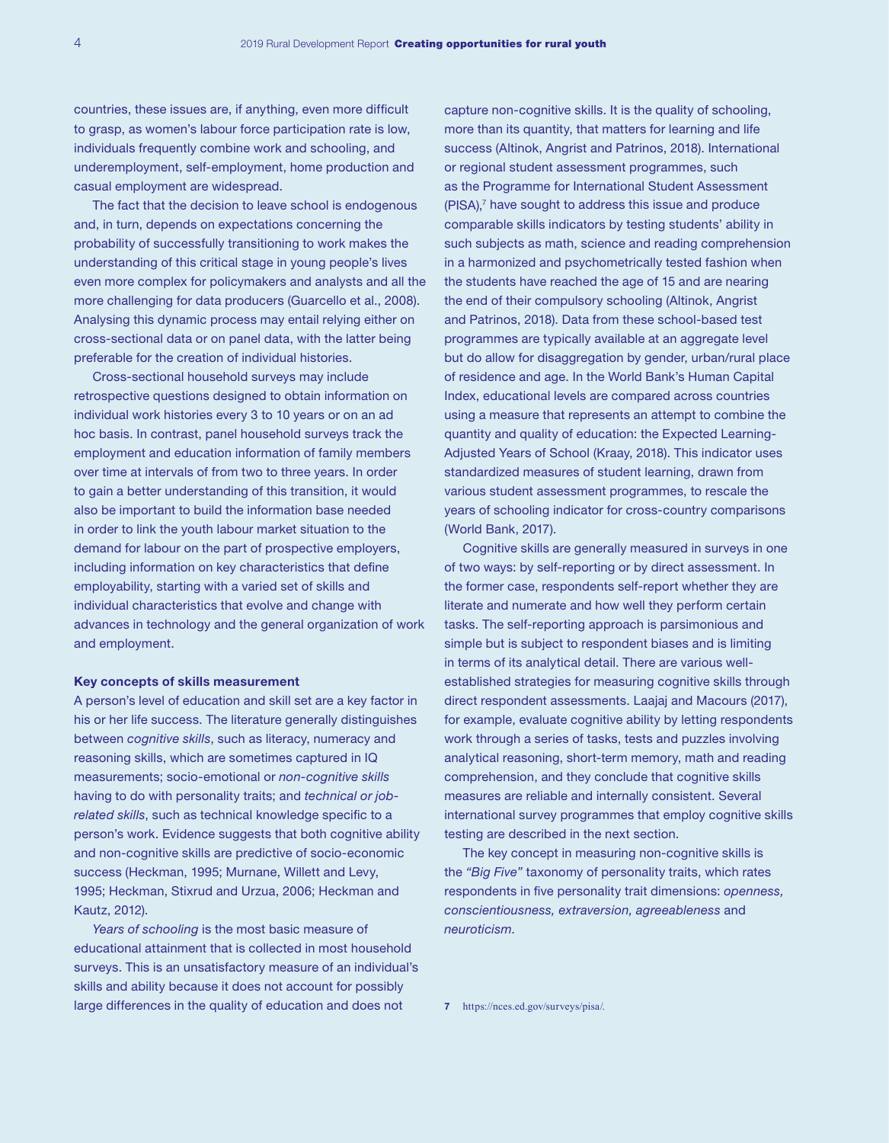countries, these issues are, if anything, even more difficult to grasp, as women's labour force participation rate is low, individuals frequently combine work and schooling, and underemployment, self-employment, home production and casual employment are widespread.

The fact that the decision to leave school is endogenous and, in turn, depends on expectations concerning the probability of successfully transitioning to work makes the understanding of this critical stage in young people's lives even more complex for policymakers and analysts and all the more challenging for data producers (Guarcello et al., 2008). Analysing this dynamic process may entail relying either on cross-sectional data or on panel data, with the latter being preferable for the creation of individual histories.

Cross-sectional household surveys may include retrospective questions designed to obtain information on individual work histories every 3 to 10 years or on an ad hoc basis. In contrast, panel household surveys track the employment and education information of family members over time at intervals of from two to three years. In order to gain a better understanding of this transition, it would also be important to build the information base needed in order to link the youth labour market situation to the demand for labour on the part of prospective employers, including information on key characteristics that define employability, starting with a varied set of skills and individual characteristics that evolve and change with advances in technology and the general organization of work and employment.

#### Key concepts of skills measurement

A person's level of education and skill set are a key factor in his or her life success. The literature generally distinguishes between *cognitive skills*, such as literacy, numeracy and reasoning skills, which are sometimes captured in IQ measurements; socio-emotional or *non-cognitive skills*  having to do with personality traits; and *technical or jobrelated skills*, such as technical knowledge specific to a person's work. Evidence suggests that both cognitive ability and non-cognitive skills are predictive of socio-economic success (Heckman, 1995; Murnane, Willett and Levy, 1995; Heckman, Stixrud and Urzua, 2006; Heckman and Kautz, 2012).

*Years of schooling* is the most basic measure of educational attainment that is collected in most household surveys. This is an unsatisfactory measure of an individual's skills and ability because it does not account for possibly large differences in the quality of education and does not

capture non-cognitive skills. It is the quality of schooling, more than its quantity, that matters for learning and life success (Altinok, Angrist and Patrinos, 2018). International or regional student assessment programmes, such as the Programme for International Student Assessment (PISA),<sup>7</sup> have sought to address this issue and produce comparable skills indicators by testing students' ability in such subjects as math, science and reading comprehension in a harmonized and psychometrically tested fashion when the students have reached the age of 15 and are nearing the end of their compulsory schooling (Altinok, Angrist and Patrinos, 2018). Data from these school-based test programmes are typically available at an aggregate level but do allow for disaggregation by gender, urban/rural place of residence and age. In the World Bank's Human Capital Index, educational levels are compared across countries using a measure that represents an attempt to combine the quantity and quality of education: the Expected Learning-Adjusted Years of School (Kraay, 2018). This indicator uses standardized measures of student learning, drawn from various student assessment programmes, to rescale the years of schooling indicator for cross-country comparisons (World Bank, 2017).

Cognitive skills are generally measured in surveys in one of two ways: by self-reporting or by direct assessment. In the former case, respondents self-report whether they are literate and numerate and how well they perform certain tasks. The self-reporting approach is parsimonious and simple but is subject to respondent biases and is limiting in terms of its analytical detail. There are various wellestablished strategies for measuring cognitive skills through direct respondent assessments. Laajaj and Macours (2017), for example, evaluate cognitive ability by letting respondents work through a series of tasks, tests and puzzles involving analytical reasoning, short-term memory, math and reading comprehension, and they conclude that cognitive skills measures are reliable and internally consistent. Several international survey programmes that employ cognitive skills testing are described in the next section.

The key concept in measuring non-cognitive skills is the *"Big Five"* taxonomy of personality traits, which rates respondents in five personality trait dimensions: *openness, conscientiousness, extraversion, agreeableness* and *neuroticism*.

7 <https://nces.ed.gov/surveys/pisa/>.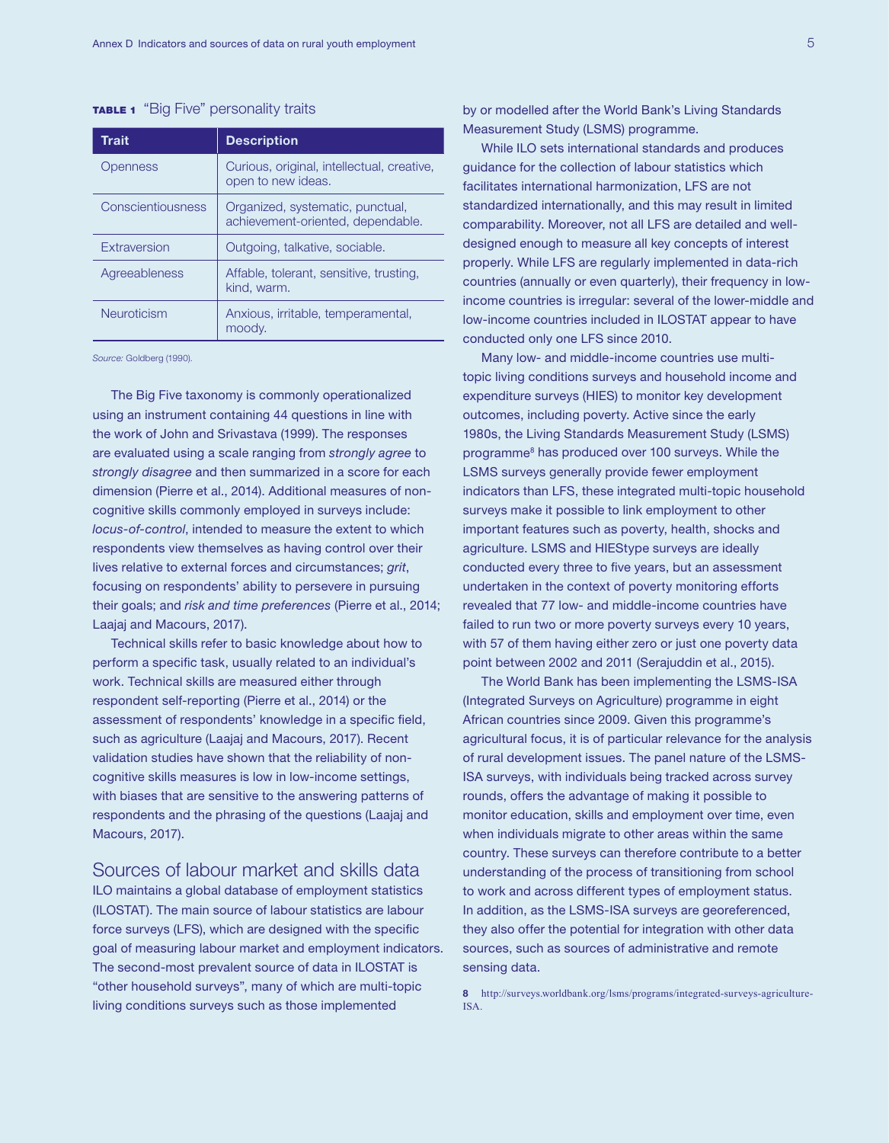### **TABLE 1** "Big Five" personality traits

| <b>Trait</b>      | <b>Description</b>                                                    |
|-------------------|-----------------------------------------------------------------------|
| Openness          | Curious, original, intellectual, creative,<br>open to new ideas.      |
| Conscientiousness | Organized, systematic, punctual,<br>achievement-oriented, dependable. |
| Extraversion      | Outgoing, talkative, sociable.                                        |
| Agreeableness     | Affable, tolerant, sensitive, trusting,<br>kind. warm.                |
| Neuroticism       | Anxious, irritable, temperamental,<br>moodv.                          |

*Source:* Goldberg (1990).

The Big Five taxonomy is commonly operationalized using an instrument containing 44 questions in line with the work of John and Srivastava (1999). The responses are evaluated using a scale ranging from *strongly agree* to *strongly disagree* and then summarized in a score for each dimension (Pierre et al., 2014). Additional measures of noncognitive skills commonly employed in surveys include: *locus-of-control*, intended to measure the extent to which respondents view themselves as having control over their lives relative to external forces and circumstances; *grit*, focusing on respondents' ability to persevere in pursuing their goals; and *risk and time preferences* (Pierre et al., 2014; Laajaj and Macours, 2017).

Technical skills refer to basic knowledge about how to perform a specific task, usually related to an individual's work. Technical skills are measured either through respondent self-reporting (Pierre et al., 2014) or the assessment of respondents' knowledge in a specific field, such as agriculture (Laajaj and Macours, 2017). Recent validation studies have shown that the reliability of noncognitive skills measures is low in low-income settings, with biases that are sensitive to the answering patterns of respondents and the phrasing of the questions (Laajaj and Macours, 2017).

# Sources of labour market and skills data

ILO maintains a global database of employment statistics (ILOSTAT). The main source of labour statistics are labour force surveys (LFS), which are designed with the specific goal of measuring labour market and employment indicators. The second-most prevalent source of data in ILOSTAT is "other household surveys", many of which are multi-topic living conditions surveys such as those implemented

by or modelled after the World Bank's Living Standards Measurement Study (LSMS) programme.

While ILO sets international standards and produces guidance for the collection of labour statistics which facilitates international harmonization, LFS are not standardized internationally, and this may result in limited comparability. Moreover, not all LFS are detailed and welldesigned enough to measure all key concepts of interest properly. While LFS are regularly implemented in data-rich countries (annually or even quarterly), their frequency in lowincome countries is irregular: several of the lower-middle and low-income countries included in ILOSTAT appear to have conducted only one LFS since 2010.

Many low- and middle-income countries use multitopic living conditions surveys and household income and expenditure surveys (HIES) to monitor key development outcomes, including poverty. Active since the early 1980s, the Living Standards Measurement Study (LSMS) programme8 has produced over 100 surveys. While the LSMS surveys generally provide fewer employment indicators than LFS, these integrated multi-topic household surveys make it possible to link employment to other important features such as poverty, health, shocks and agriculture. LSMS and HIEStype surveys are ideally conducted every three to five years, but an assessment undertaken in the context of poverty monitoring efforts revealed that 77 low- and middle-income countries have failed to run two or more poverty surveys every 10 years, with 57 of them having either zero or just one poverty data point between 2002 and 2011 (Serajuddin et al., 2015).

The World Bank has been implementing the LSMS-ISA (Integrated Surveys on Agriculture) programme in eight African countries since 2009. Given this programme's agricultural focus, it is of particular relevance for the analysis of rural development issues. The panel nature of the LSMS-ISA surveys, with individuals being tracked across survey rounds, offers the advantage of making it possible to monitor education, skills and employment over time, even when individuals migrate to other areas within the same country. These surveys can therefore contribute to a better understanding of the process of transitioning from school to work and across different types of employment status. In addition, as the LSMS-ISA surveys are georeferenced, they also offer the potential for integration with other data sources, such as sources of administrative and remote sensing data.

8 [http://surveys.worldbank.org/lsms/programs/integrated-surveys-agriculture-](http://surveys.worldbank.org/lsms/programs/integrated-surveys-agriculture-ISA)[ISA](http://surveys.worldbank.org/lsms/programs/integrated-surveys-agriculture-ISA).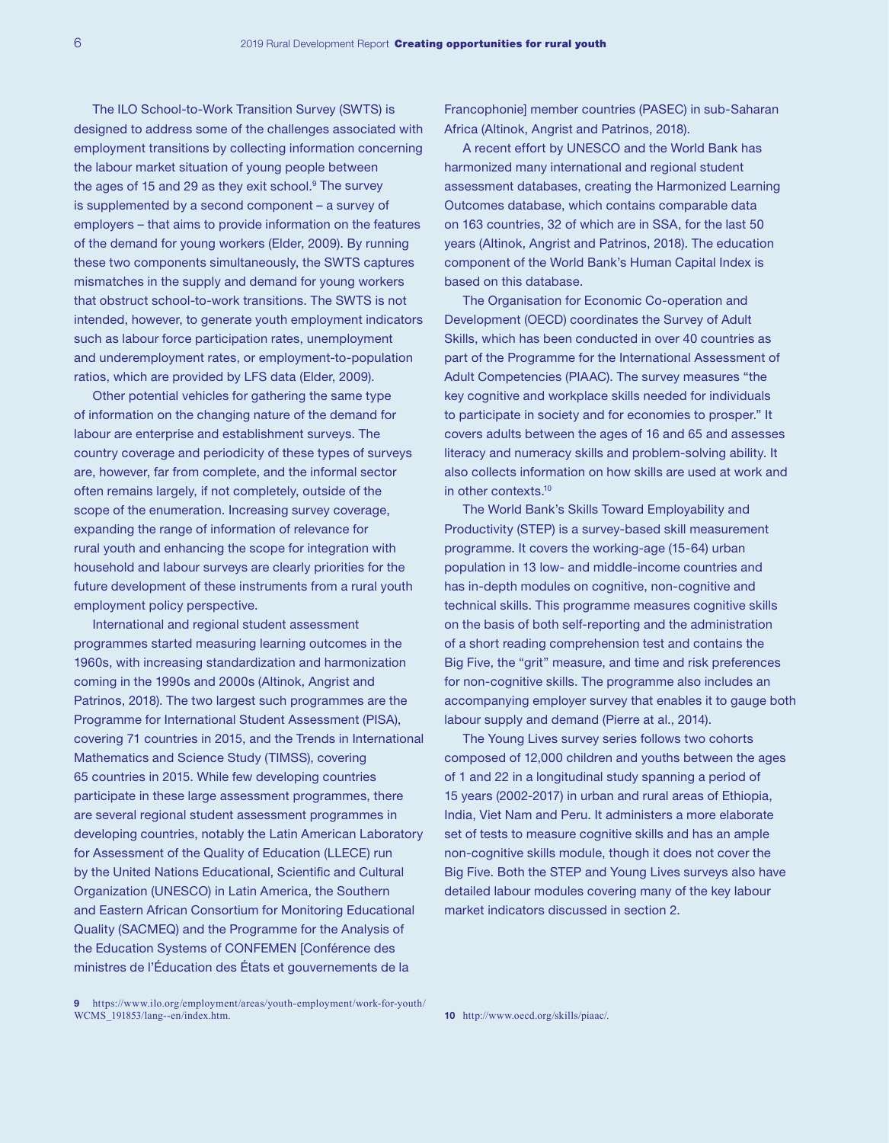The ILO School-to-Work Transition Survey (SWTS) is designed to address some of the challenges associated with employment transitions by collecting information concerning the labour market situation of young people between the ages of 15 and 29 as they exit school.9 The survey is supplemented by a second component – a survey of employers – that aims to provide information on the features of the demand for young workers (Elder, 2009). By running these two components simultaneously, the SWTS captures mismatches in the supply and demand for young workers that obstruct school-to-work transitions. The SWTS is not intended, however, to generate youth employment indicators such as labour force participation rates, unemployment and underemployment rates, or employment-to-population ratios, which are provided by LFS data (Elder, 2009).

Other potential vehicles for gathering the same type of information on the changing nature of the demand for labour are enterprise and establishment surveys. The country coverage and periodicity of these types of surveys are, however, far from complete, and the informal sector often remains largely, if not completely, outside of the scope of the enumeration. Increasing survey coverage, expanding the range of information of relevance for rural youth and enhancing the scope for integration with household and labour surveys are clearly priorities for the future development of these instruments from a rural youth employment policy perspective.

International and regional student assessment programmes started measuring learning outcomes in the 1960s, with increasing standardization and harmonization coming in the 1990s and 2000s (Altinok, Angrist and Patrinos, 2018). The two largest such programmes are the Programme for International Student Assessment (PISA), covering 71 countries in 2015, and the Trends in International Mathematics and Science Study (TIMSS), covering 65 countries in 2015. While few developing countries participate in these large assessment programmes, there are several regional student assessment programmes in developing countries, notably the Latin American Laboratory for Assessment of the Quality of Education (LLECE) run by the United Nations Educational, Scientific and Cultural Organization (UNESCO) in Latin America, the Southern and Eastern African Consortium for Monitoring Educational Quality (SACMEQ) and the Programme for the Analysis of the Education Systems of CONFEMEN [Conférence des ministres de l'Éducation des États et gouvernements de la

Francophonie] member countries (PASEC) in sub-Saharan Africa (Altinok, Angrist and Patrinos, 2018).

A recent effort by UNESCO and the World Bank has harmonized many international and regional student assessment databases, creating the Harmonized Learning Outcomes database, which contains comparable data on 163 countries, 32 of which are in SSA, for the last 50 years (Altinok, Angrist and Patrinos, 2018). The education component of the World Bank's Human Capital Index is based on this database.

The Organisation for Economic Co-operation and Development (OECD) coordinates the Survey of Adult Skills, which has been conducted in over 40 countries as part of the Programme for the International Assessment of Adult Competencies (PIAAC). The survey measures "the key cognitive and workplace skills needed for individuals to participate in society and for economies to prosper." It covers adults between the ages of 16 and 65 and assesses literacy and numeracy skills and problem-solving ability. It also collects information on how skills are used at work and in other contexts.10

The World Bank's Skills Toward Employability and Productivity (STEP) is a survey-based skill measurement programme. It covers the working-age (15-64) urban population in 13 low- and middle-income countries and has in-depth modules on cognitive, non-cognitive and technical skills. This programme measures cognitive skills on the basis of both self-reporting and the administration of a short reading comprehension test and contains the Big Five, the "grit" measure, and time and risk preferences for non-cognitive skills. The programme also includes an accompanying employer survey that enables it to gauge both labour supply and demand (Pierre at al., 2014).

The Young Lives survey series follows two cohorts composed of 12,000 children and youths between the ages of 1 and 22 in a longitudinal study spanning a period of 15 years (2002-2017) in urban and rural areas of Ethiopia, India, Viet Nam and Peru. It administers a more elaborate set of tests to measure cognitive skills and has an ample non-cognitive skills module, though it does not cover the Big Five. Both the STEP and Young Lives surveys also have detailed labour modules covering many of the key labour market indicators discussed in section 2.

<sup>9</sup> [https://www.ilo.org/employment/areas/youth-employment/work-for-youth/](https://www.ilo.org/employment/areas/youth-employment/work-for-youth/WCMS_191853/lang--en/index.htm) [WCMS\\_191853/lang--en/index.htm.](https://www.ilo.org/employment/areas/youth-employment/work-for-youth/WCMS_191853/lang--en/index.htm)

<sup>10</sup> <http://www.oecd.org/skills/piaac/>.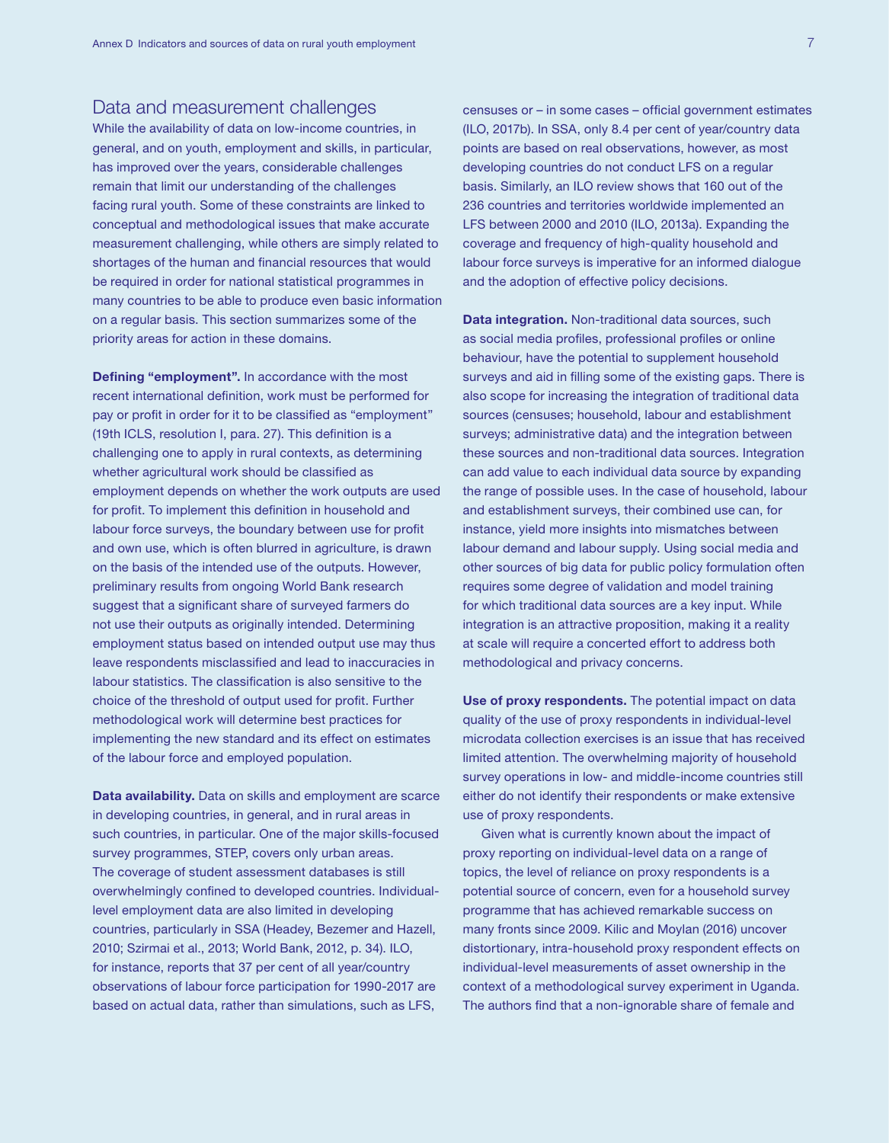## Data and measurement challenges

While the availability of data on low-income countries, in general, and on youth, employment and skills, in particular, has improved over the years, considerable challenges remain that limit our understanding of the challenges facing rural youth. Some of these constraints are linked to conceptual and methodological issues that make accurate measurement challenging, while others are simply related to shortages of the human and financial resources that would be required in order for national statistical programmes in many countries to be able to produce even basic information on a regular basis. This section summarizes some of the priority areas for action in these domains.

Defining "employment". In accordance with the most recent international definition, work must be performed for pay or profit in order for it to be classified as "employment" (19th ICLS, resolution I, para. 27). This definition is a challenging one to apply in rural contexts, as determining whether agricultural work should be classified as employment depends on whether the work outputs are used for profit. To implement this definition in household and labour force surveys, the boundary between use for profit and own use, which is often blurred in agriculture, is drawn on the basis of the intended use of the outputs. However, preliminary results from ongoing World Bank research suggest that a significant share of surveyed farmers do not use their outputs as originally intended. Determining employment status based on intended output use may thus leave respondents misclassified and lead to inaccuracies in labour statistics. The classification is also sensitive to the choice of the threshold of output used for profit. Further methodological work will determine best practices for implementing the new standard and its effect on estimates of the labour force and employed population.

Data availability. Data on skills and employment are scarce in developing countries, in general, and in rural areas in such countries, in particular. One of the major skills-focused survey programmes, STEP, covers only urban areas. The coverage of student assessment databases is still overwhelmingly confined to developed countries. Individuallevel employment data are also limited in developing countries, particularly in SSA (Headey, Bezemer and Hazell, 2010; Szirmai et al., 2013; World Bank, 2012, p. 34). ILO, for instance, reports that 37 per cent of all year/country observations of labour force participation for 1990-2017 are based on actual data, rather than simulations, such as LFS,

censuses or – in some cases – official government estimates (ILO, 2017b). In SSA, only 8.4 per cent of year/country data points are based on real observations, however, as most developing countries do not conduct LFS on a regular basis. Similarly, an ILO review shows that 160 out of the 236 countries and territories worldwide implemented an LFS between 2000 and 2010 (ILO, 2013a). Expanding the coverage and frequency of high-quality household and labour force surveys is imperative for an informed dialogue and the adoption of effective policy decisions.

Data integration. Non-traditional data sources, such as social media profiles, professional profiles or online behaviour, have the potential to supplement household surveys and aid in filling some of the existing gaps. There is also scope for increasing the integration of traditional data sources (censuses; household, labour and establishment surveys; administrative data) and the integration between these sources and non-traditional data sources. Integration can add value to each individual data source by expanding the range of possible uses. In the case of household, labour and establishment surveys, their combined use can, for instance, yield more insights into mismatches between labour demand and labour supply. Using social media and other sources of big data for public policy formulation often requires some degree of validation and model training for which traditional data sources are a key input. While integration is an attractive proposition, making it a reality at scale will require a concerted effort to address both methodological and privacy concerns.

Use of proxy respondents. The potential impact on data quality of the use of proxy respondents in individual-level microdata collection exercises is an issue that has received limited attention. The overwhelming majority of household survey operations in low- and middle-income countries still either do not identify their respondents or make extensive use of proxy respondents.

Given what is currently known about the impact of proxy reporting on individual-level data on a range of topics, the level of reliance on proxy respondents is a potential source of concern, even for a household survey programme that has achieved remarkable success on many fronts since 2009. Kilic and Moylan (2016) uncover distortionary, intra-household proxy respondent effects on individual-level measurements of asset ownership in the context of a methodological survey experiment in Uganda. The authors find that a non-ignorable share of female and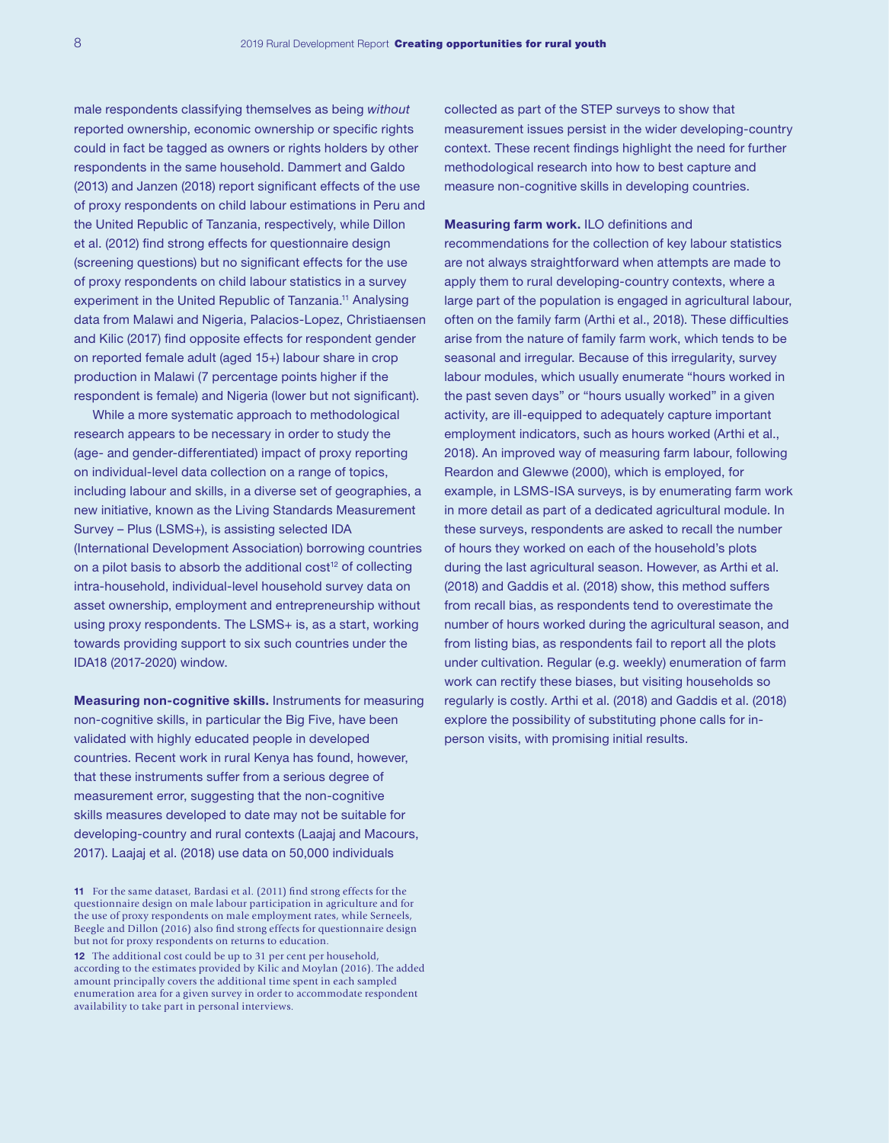male respondents classifying themselves as being *without* reported ownership, economic ownership or specific rights could in fact be tagged as owners or rights holders by other respondents in the same household. Dammert and Galdo (2013) and Janzen (2018) report significant effects of the use of proxy respondents on child labour estimations in Peru and the United Republic of Tanzania, respectively, while Dillon et al. (2012) find strong effects for questionnaire design (screening questions) but no significant effects for the use of proxy respondents on child labour statistics in a survey experiment in the United Republic of Tanzania.<sup>11</sup> Analysing data from Malawi and Nigeria, Palacios-Lopez, Christiaensen and Kilic (2017) find opposite effects for respondent gender on reported female adult (aged 15+) labour share in crop production in Malawi (7 percentage points higher if the respondent is female) and Nigeria (lower but not significant).

While a more systematic approach to methodological research appears to be necessary in order to study the (age- and gender-differentiated) impact of proxy reporting on individual-level data collection on a range of topics, including labour and skills, in a diverse set of geographies, a new initiative, known as the Living Standards Measurement Survey – Plus (LSMS+), is assisting selected IDA (International Development Association) borrowing countries on a pilot basis to absorb the additional cost<sup>12</sup> of collecting intra-household, individual-level household survey data on asset ownership, employment and entrepreneurship without using proxy respondents. The LSMS+ is, as a start, working towards providing support to six such countries under the IDA18 (2017-2020) window.

Measuring non-cognitive skills. Instruments for measuring non-cognitive skills, in particular the Big Five, have been validated with highly educated people in developed countries. Recent work in rural Kenya has found, however, that these instruments suffer from a serious degree of measurement error, suggesting that the non-cognitive skills measures developed to date may not be suitable for developing-country and rural contexts (Laajaj and Macours, 2017). Laajaj et al. (2018) use data on 50,000 individuals

11 For the same dataset, Bardasi et al. (2011) find strong effects for the questionnaire design on male labour participation in agriculture and for the use of proxy respondents on male employment rates, while Serneels, Beegle and Dillon (2016) also find strong effects for questionnaire design but not for proxy respondents on returns to education. 12 The additional cost could be up to 31 per cent per household, according to the estimates provided by Kilic and Moylan (2016). The added amount principally covers the additional time spent in each sampled enumeration area for a given survey in order to accommodate respondent availability to take part in personal interviews.

collected as part of the STEP surveys to show that measurement issues persist in the wider developing-country context. These recent findings highlight the need for further methodological research into how to best capture and measure non-cognitive skills in developing countries.

Measuring farm work. ILO definitions and recommendations for the collection of key labour statistics are not always straightforward when attempts are made to apply them to rural developing-country contexts, where a large part of the population is engaged in agricultural labour, often on the family farm (Arthi et al., 2018). These difficulties arise from the nature of family farm work, which tends to be seasonal and irregular. Because of this irregularity, survey labour modules, which usually enumerate "hours worked in the past seven days" or "hours usually worked" in a given activity, are ill-equipped to adequately capture important employment indicators, such as hours worked (Arthi et al., 2018). An improved way of measuring farm labour, following Reardon and Glewwe (2000), which is employed, for example, in LSMS-ISA surveys, is by enumerating farm work in more detail as part of a dedicated agricultural module. In these surveys, respondents are asked to recall the number of hours they worked on each of the household's plots during the last agricultural season. However, as Arthi et al. (2018) and Gaddis et al. (2018) show, this method suffers from recall bias, as respondents tend to overestimate the number of hours worked during the agricultural season, and from listing bias, as respondents fail to report all the plots under cultivation. Regular (e.g. weekly) enumeration of farm work can rectify these biases, but visiting households so regularly is costly. Arthi et al. (2018) and Gaddis et al. (2018) explore the possibility of substituting phone calls for inperson visits, with promising initial results.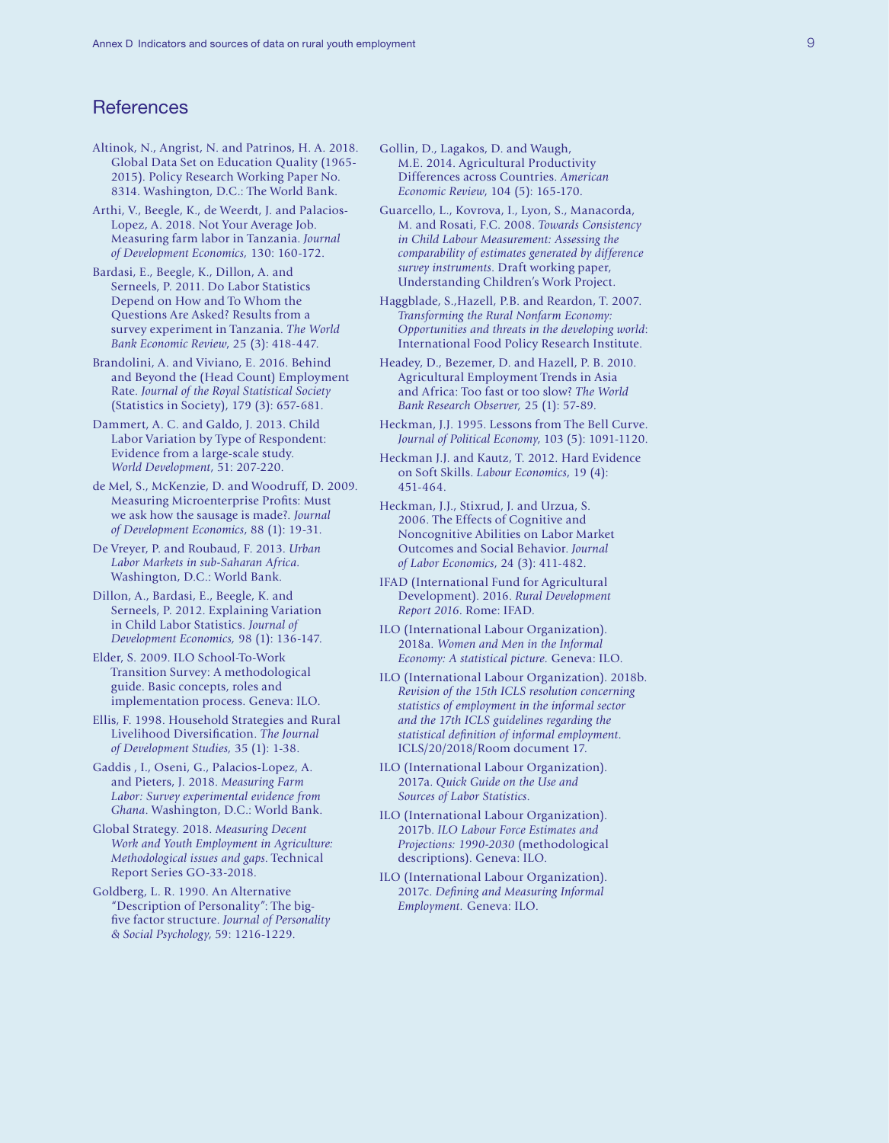# **References**

- Altinok, N., Angrist, N. and Patrinos, H. A. 2018. Global Data Set on Education Quality (1965- 2015). Policy Research Working Paper No. 8314. Washington, D.C.: The World Bank.
- Arthi, V., Beegle, K., de Weerdt, J. and Palacios-Lopez, A. 2018. Not Your Average Job. Measuring farm labor in Tanzania. *Journal of Development Economics,* 130: 160-172.
- Bardasi, E., Beegle, K., Dillon, A. and Serneels, P. 2011. Do Labor Statistics Depend on How and To Whom the Questions Are Asked? Results from a survey experiment in Tanzania. *The World Bank Economic Review*, 25 (3): 418-447.
- Brandolini, A. and Viviano, E. 2016. Behind and Beyond the (Head Count) Employment Rate. *Journal of the Royal Statistical Society* (Statistics in Society), 179 (3): 657-681.
- Dammert, A. C. and Galdo, J. 2013. Child Labor Variation by Type of Respondent: Evidence from a large-scale study. *World Development*, 51: 207-220.
- de Mel, S., McKenzie, D. and Woodruff, D. 2009. Measuring Microenterprise Profits: Must we ask how the sausage is made?. *Journal of Development Economics*, 88 (1): 19-31.
- De Vreyer, P. and Roubaud, F. 2013. *Urban Labor Markets in sub-Saharan Africa.*  Washington, D.C.: World Bank.
- Dillon, A., Bardasi, E., Beegle, K. and Serneels, P. 2012. Explaining Variation in Child Labor Statistics. *Journal of Development Economics,* 98 (1): 136-147.
- Elder, S. 2009. ILO School-To-Work Transition Survey: A methodological guide. Basic concepts, roles and implementation process. Geneva: ILO.
- Ellis, F. 1998. Household Strategies and Rural Livelihood Diversification. *The Journal of Development Studies,* 35 (1): 1-38.
- Gaddis , I., Oseni, G., Palacios-Lopez, A. and Pieters, J. 2018. *Measuring Farm Labor: Survey experimental evidence from Ghana*. Washington, D.C.: World Bank.
- Global Strategy. 2018. *Measuring Decent Work and Youth Employment in Agriculture: Methodological issues and gaps*. Technical Report Series GO-33-2018.
- Goldberg, L. R. 1990. An Alternative "Description of Personality": The bigfive factor structure. *Journal of Personality & Social Psychology*, 59: 1216-1229.
- Gollin, D., Lagakos, D. and Waugh, M.E. 2014. Agricultural Productivity Differences across Countries. *American Economic Review*, 104 (5): 165-170.
- Guarcello, L., Kovrova, I., Lyon, S., Manacorda, M. and Rosati, F.C. 2008. *Towards Consistency in Child Labour Measurement: Assessing the comparability of estimates generated by difference survey instruments*. Draft working paper, Understanding Children's Work Project.
- Haggblade, S.,Hazell, P.B. and Reardon, T. 2007. *Transforming the Rural Nonfarm Economy: Opportunities and threats in the developing world*: International Food Policy Research Institute.
- Headey, D., Bezemer, D. and Hazell, P. B. 2010. Agricultural Employment Trends in Asia and Africa: Too fast or too slow? *The World Bank Research Observer,* 25 (1): 57-89.
- Heckman, J.J. 1995. Lessons from The Bell Curve. *Journal of Political Economy*, 103 (5): 1091-1120.
- Heckman J.J. and Kautz, T. 2012. Hard Evidence on Soft Skills. *Labour Economics*, 19 (4): 451-464.
- Heckman, J.J., Stixrud, J. and Urzua, S. 2006. The Effects of Cognitive and Noncognitive Abilities on Labor Market Outcomes and Social Behavior. *Journal of Labor Economics*, 24 (3): 411-482.
- IFAD (International Fund for Agricultural Development). 2016. *Rural Development Report 2016*. Rome: IFAD.
- ILO (International Labour Organization). 2018a. *Women and Men in the Informal Economy: A statistical picture.* Geneva: ILO.
- ILO (International Labour Organization). 2018b. *Revision of the 15th ICLS resolution concerning statistics of employment in the informal sector and the 17th ICLS guidelines regarding the statistical definition of informal employment*. ICLS/20/2018/Room document 17.
- ILO (International Labour Organization). 2017a. *Quick Guide on the Use and Sources of Labor Statistics*.
- ILO (International Labour Organization). 2017b. *ILO Labour Force Estimates and Projections: 1990-2030* (methodological descriptions). Geneva: ILO.
- ILO (International Labour Organization). 2017c. *Defining and Measuring Informal Employment.* Geneva: ILO.